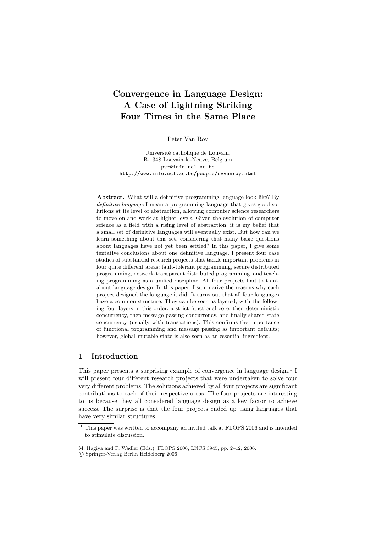# **Convergence in Language Design: A Case of Lightning Striking Four Times in the Same Place**

Peter Van Roy

Université catholique de Louvain, B-1348 Louvain-la-Neuve, Belgium pvr@info.ucl.ac.be http://www.info.ucl.ac.be/people/cvvanroy.html

**Abstract.** What will a definitive programming language look like? By definitive language I mean a programming language that gives good solutions at its level of abstraction, allowing computer science researchers to move on and work at higher levels. Given the evolution of computer science as a field with a rising level of abstraction, it is my belief that a small set of definitive languages will eventually exist. But how can we learn something about this set, considering that many basic questions about languages have not yet been settled? In this paper, I give some tentative conclusions about one definitive language. I present four case studies of substantial research projects that tackle important problems in four quite different areas: fault-tolerant programming, secure distributed programming, network-transparent distributed programming, and teaching programming as a unified discipline. All four projects had to think about language design. In this paper, I summarize the reasons why each project designed the language it did. It turns out that all four languages have a common structure. They can be seen as layered, with the following four layers in this order: a strict functional core, then deterministic concurrency, then message-passing concurrency, and finally shared-state concurrency (usually with transactions). This confirms the importance of functional programming and message passing as important defaults; however, global mutable state is also seen as an essential ingredient.

## **1 Introduction**

This paper presents a surprising example of convergence in language design.<sup>[1](#page-0-0)</sup> I will present four different research projects that were undertaken to solve four very different problems. The solutions achieved by all four projects are significant contributions to each of their respective areas. The four projects are interesting to us because they all considered language design as a key factor to achieve success. The surprise is that the four projects ended up using languages that have very similar structures.

<sup>1</sup> This paper was written to accompany an invited talk at FLOPS 2006 and is intended to stimulate discussion.

<span id="page-0-0"></span>M. Hagiya and P. Wadler (Eds.): FLOPS 2006, LNCS 3945, pp. 2[–12,](#page-8-0) 2006.

c Springer-Verlag Berlin Heidelberg 2006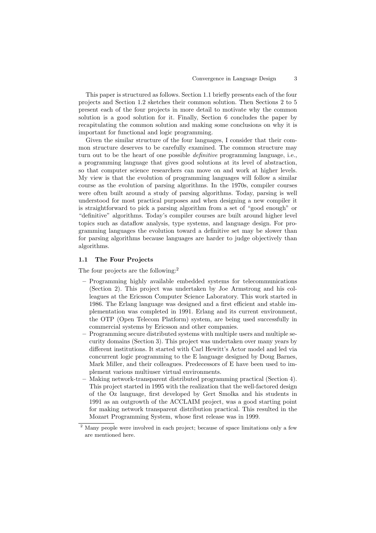This paper is structured as follows. Section [1.1](#page-1-0) briefly presents each of the four projects and Section [1.2](#page-2-0) sketches their common solution. Then Sections [2](#page-3-0) to [5](#page-6-0) present each of the four projects in more detail to motivate why the common solution is a good solution for it. Finally, Section [6](#page-7-0) concludes the paper by recapitulating the common solution and making some conclusions on why it is important for functional and logic programming.

Given the similar structure of the four languages, I consider that their common structure deserves to be carefully examined. The common structure may turn out to be the heart of one possible *definitive* programming language, i.e., a programming language that gives good solutions at its level of abstraction, so that computer science researchers can move on and work at higher levels. My view is that the evolution of programming languages will follow a similar course as the evolution of parsing algorithms. In the 1970s, compiler courses were often built around a study of parsing algorithms. Today, parsing is well understood for most practical purposes and when designing a new compiler it is straightforward to pick a parsing algorithm from a set of "good enough" or "definitive" algorithms. Today's compiler courses are built around higher level topics such as dataflow analysis, type systems, and language design. For programming languages the evolution toward a definitive set may be slower than for parsing algorithms because languages are harder to judge objectively than algorithms.

#### <span id="page-1-0"></span>**1.1 The Four Projects**

The four projects are the following:<sup>[2](#page-1-1)</sup>

- **–** Programming highly available embedded systems for telecommunications (Section [2\)](#page-3-0). This project was undertaken by Joe Armstrong and his colleagues at the Ericsson Computer Science Laboratory. This work started in 1986. The Erlang language was designed and a first efficient and stable implementation was completed in 1991. Erlang and its current environment, the OTP (Open Telecom Platform) system, are being used successfully in commercial systems by Ericsson and other companies.
- **–** Programming secure distributed systems with multiple users and multiple security domains (Section [3\)](#page-4-0). This project was undertaken over many years by different institutions. It started with Carl Hewitt's Actor model and led via concurrent logic programming to the E language designed by Doug Barnes, Mark Miller, and their colleagues. Predecessors of E have been used to implement various multiuser virtual environments.
- **–** Making network-transparent distributed programming practical (Section [4\)](#page-5-0). This project started in 1995 with the realization that the well-factored design of the Oz language, first developed by Gert Smolka and his students in 1991 as an outgrowth of the ACCLAIM project, was a good starting point for making network transparent distribution practical. This resulted in the Mozart Programming System, whose first release was in 1999.

<span id="page-1-1"></span>Many people were involved in each project; because of space limitations only a few are mentioned here.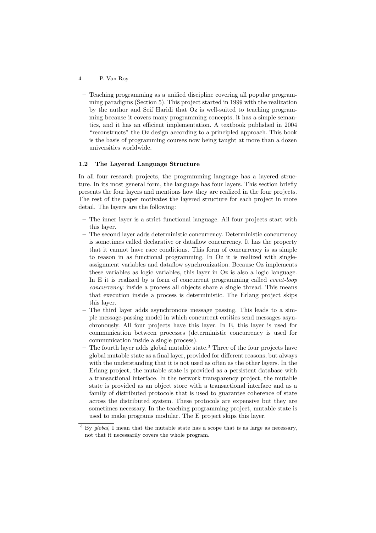**–** Teaching programming as a unified discipline covering all popular programming paradigms (Section [5\)](#page-6-0). This project started in 1999 with the realization by the author and Seif Haridi that Oz is well-suited to teaching programming because it covers many programming concepts, it has a simple semantics, and it has an efficient implementation. A textbook published in 2004 "reconstructs" the Oz design according to a principled approach. This book is the basis of programming courses now being taught at more than a dozen universities worldwide.

## <span id="page-2-0"></span>**1.2 The Layered Language Structure**

In all four research projects, the programming language has a layered structure. In its most general form, the language has four layers. This section briefly presents the four layers and mentions how they are realized in the four projects. The rest of the paper motivates the layered structure for each project in more detail. The layers are the following:

- **–** The inner layer is a strict functional language. All four projects start with this layer.
- **–** The second layer adds deterministic concurrency. Deterministic concurrency is sometimes called declarative or dataflow concurrency. It has the property that it cannot have race conditions. This form of concurrency is as simple to reason in as functional programming. In Oz it is realized with singleassignment variables and dataflow synchronization. Because Oz implements these variables as logic variables, this layer in Oz is also a logic language. In E it is realized by a form of concurrent programming called event-loop concurrency: inside a process all objects share a single thread. This means that execution inside a process is deterministic. The Erlang project skips this layer.
- **–** The third layer adds asynchronous message passing. This leads to a simple message-passing model in which concurrent entities send messages asynchronously. All four projects have this layer. In E, this layer is used for communication between processes (deterministic concurrency is used for communication inside a single process).
- The fourth layer adds global mutable state.<sup>[3](#page-2-1)</sup> Three of the four projects have global mutable state as a final layer, provided for different reasons, but always with the understanding that it is not used as often as the other layers. In the Erlang project, the mutable state is provided as a persistent database with a transactional interface. In the network transparency project, the mutable state is provided as an object store with a transactional interface and as a family of distributed protocols that is used to guarantee coherence of state across the distributed system. These protocols are expensive but they are sometimes necessary. In the teaching programming project, mutable state is used to make programs modular. The E project skips this layer.

<span id="page-2-1"></span>By *global*, I mean that the mutable state has a scope that is as large as necessary, not that it necessarily covers the whole program.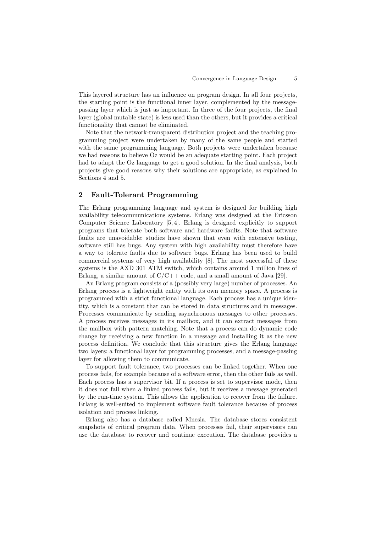This layered structure has an influence on program design. In all four projects, the starting point is the functional inner layer, complemented by the messagepassing layer which is just as important. In three of the four projects, the final layer (global mutable state) is less used than the others, but it provides a critical functionality that cannot be eliminated.

Note that the network-transparent distribution project and the teaching programming project were undertaken by many of the same people and started with the same programming language. Both projects were undertaken because we had reasons to believe Oz would be an adequate starting point. Each project had to adapt the Oz language to get a good solution. In the final analysis, both projects give good reasons why their solutions are appropriate, as explained in Sections [4](#page-5-0) and [5.](#page-6-0)

## <span id="page-3-0"></span>**2 Fault-Tolerant Programming**

The Erlang programming language and system is designed for building high availability telecommunications systems. Erlang was designed at the Ericsson Computer Science Laboratory [\[5,](#page-8-1) [4\]](#page-8-2). Erlang is designed explicitly to support programs that tolerate both software and hardware faults. Note that software faults are unavoidable: studies have shown that even with extensive testing, software still has bugs. Any system with high availability must therefore have a way to tolerate faults due to software bugs. Erlang has been used to build commercial systems of very high availability [\[8\]](#page-9-0). The most successful of these systems is the AXD 301 ATM switch, which contains around 1 million lines of Erlang, a similar amount of  $C/C++$  code, and a small amount of Java [\[29\]](#page-10-0).

An Erlang program consists of a (possibly very large) number of processes. An Erlang process is a lightweight entity with its own memory space. A process is programmed with a strict functional language. Each process has a unique identity, which is a constant that can be stored in data structures and in messages. Processes communicate by sending asynchronous messages to other processes. A process receives messages in its mailbox, and it can extract messages from the mailbox with pattern matching. Note that a process can do dynamic code change by receiving a new function in a message and installing it as the new process definition. We conclude that this structure gives the Erlang language two layers: a functional layer for programming processes, and a message-passing layer for allowing them to communicate.

To support fault tolerance, two processes can be linked together. When one process fails, for example because of a software error, then the other fails as well. Each process has a supervisor bit. If a process is set to supervisor mode, then it does not fail when a linked process fails, but it receives a message generated by the run-time system. This allows the application to recover from the failure. Erlang is well-suited to implement software fault tolerance because of process isolation and process linking.

Erlang also has a database called Mnesia. The database stores consistent snapshots of critical program data. When processes fail, their supervisors can use the database to recover and continue execution. The database provides a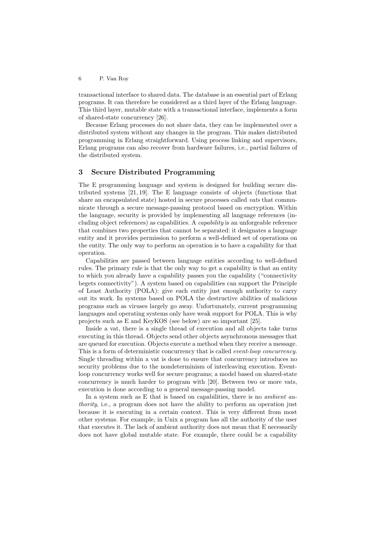transactional interface to shared data. The database is an essential part of Erlang programs. It can therefore be considered as a third layer of the Erlang language. This third layer, mutable state with a transactional interface, implements a form of shared-state concurrency [\[26\]](#page-10-1).

Because Erlang processes do not share data, they can be implemented over a distributed system without any changes in the program. This makes distributed programming in Erlang straightforward. Using process linking and supervisors, Erlang programs can also recover from hardware failures, i.e., partial failures of the distributed system.

## <span id="page-4-0"></span>**3 Secure Distributed Programming**

The E programming language and system is designed for building secure distributed systems [\[21,](#page-9-1) [19\]](#page-9-2). The E language consists of objects (functions that share an encapsulated state) hosted in secure processes called *vats* that communicate through a secure message-passing protocol based on encryption. Within the language, security is provided by implementing all language references (including object references) as capabilities. A capability is an unforgeable reference that combines two properties that cannot be separated: it designates a language entity and it provides permission to perform a well-defined set of operations on the entity. The only way to perform an operation is to have a capability for that operation.

Capabilities are passed between language entities according to well-defined rules. The primary rule is that the only way to get a capability is that an entity to which you already have a capability passes you the capability ("connectivity begets connectivity"). A system based on capabilities can support the Principle of Least Authority (POLA): give each entity just enough authority to carry out its work. In systems based on POLA the destructive abilities of malicious programs such as viruses largely go away. Unfortunately, current programming languages and operating systems only have weak support for POLA. This is why projects such as E and KeyKOS (see below) are so important [\[25\]](#page-9-3).

Inside a vat, there is a single thread of execution and all objects take turns executing in this thread. Objects send other objects asynchronous messages that are queued for execution. Objects execute a method when they receive a message. This is a form of deterministic concurrency that is called event-loop concurrency. Single threading within a vat is done to ensure that concurrency introduces no security problems due to the nondeterminism of interleaving execution. Eventloop concurrency works well for secure programs; a model based on shared-state concurrency is much harder to program with [\[20\]](#page-9-4). Between two or more vats, execution is done according to a general message-passing model.

In a system such as E that is based on capabilities, there is no *ambient au*thority, i.e., a program does not have the ability to perform an operation just because it is executing in a certain context. This is very different from most other systems. For example, in Unix a program has all the authority of the user that executes it. The lack of ambient authority does not mean that E necessarily does not have global mutable state. For example, there could be a capability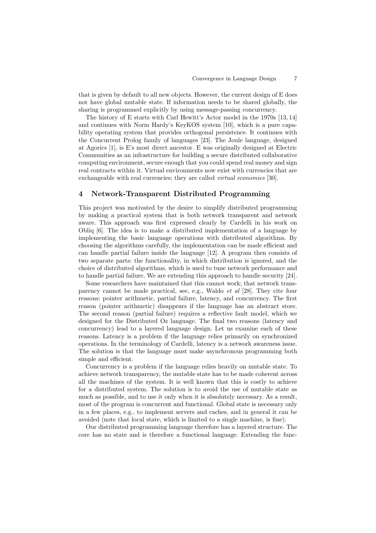that is given by default to all new objects. However, the current design of E does not have global mutable state. If information needs to be shared globally, the sharing is programmed explicitly by using message-passing concurrency.

The history of E starts with Carl Hewitt's Actor model in the 1970s [\[13,](#page-9-5) [14\]](#page-9-6) and continues with Norm Hardy's KeyKOS system [\[10\]](#page-9-7), which is a pure capability operating system that provides orthogonal persistence. It continues with the Concurrent Prolog family of languages [\[23\]](#page-9-8). The Joule language, designed at Agorics [\[1\]](#page-8-3), is E's most direct ancestor. E was originally designed at Electric Communities as an infrastructure for building a secure distributed collaborative computing environment, secure enough that you could spend real money and sign real contracts within it. Virtual environments now exist with currencies that are exchangeable with real currencies; they are called virtual economies [\[30\]](#page-10-2).

## <span id="page-5-0"></span>**4 Network-Transparent Distributed Programming**

This project was motivated by the desire to simplify distributed programming by making a practical system that is both network transparent and network aware. This approach was first expressed clearly by Cardelli in his work on Obliq [\[6\]](#page-8-4). The idea is to make a distributed implementation of a language by implementing the basic language operations with distributed algorithms. By choosing the algorithms carefully, the implementation can be made efficient and can handle partial failure inside the language [\[12\]](#page-9-9). A program then consists of two separate parts: the functionality, in which distribution is ignored, and the choice of distributed algorithms, which is used to tune network performance and to handle partial failure. We are extending this approach to handle security [\[24\]](#page-9-10).

Some researchers have maintained that this cannot work; that network transparency cannot be made practical, see, e.g., Waldo et al [\[28\]](#page-10-3). They cite four reasons: pointer arithmetic, partial failure, latency, and concurrency. The first reason (pointer arithmetic) disappears if the language has an abstract store. The second reason (partial failure) requires a reflective fault model, which we designed for the Distributed Oz language. The final two reasons (latency and concurrency) lead to a layered language design. Let us examine each of these reasons. Latency is a problem if the language relies primarily on synchronized operations. In the terminology of Cardelli, latency is a network awareness issue. The solution is that the language must make asynchronous programming both simple and efficient.

Concurrency is a problem if the language relies heavily on mutable state. To achieve network transparency, the mutable state has to be made coherent across all the machines of the system. It is well known that this is costly to achieve for a distributed system. The solution is to avoid the use of mutable state as much as possible, and to use it only when it is absolutely necessary. As a result, most of the program is concurrent and functional. Global state is necessary only in a few places, e.g., to implement servers and caches, and in general it can be avoided (note that local state, which is limited to a single machine, is fine).

Our distributed programming language therefore has a layered structure. The core has no state and is therefore a functional language. Extending the func-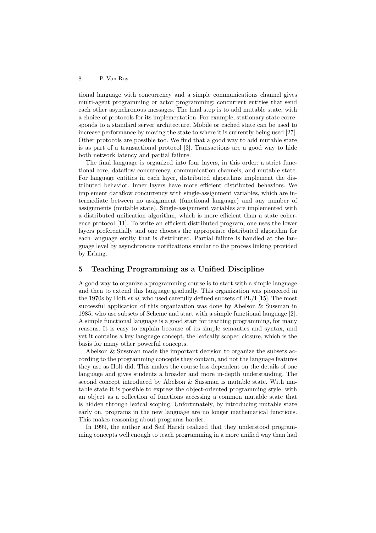tional language with concurrency and a simple communications channel gives multi-agent programming or actor programming: concurrent entities that send each other asynchronous messages. The final step is to add mutable state, with a choice of protocols for its implementation. For example, stationary state corresponds to a standard server architecture. Mobile or cached state can be used to increase performance by moving the state to where it is currently being used [\[27\]](#page-10-4). Other protocols are possible too. We find that a good way to add mutable state is as part of a transactional protocol [\[3\]](#page-8-5). Transactions are a good way to hide both network latency and partial failure.

The final language is organized into four layers, in this order: a strict functional core, dataflow concurrency, communication channels, and mutable state. For language entities in each layer, distributed algorithms implement the distributed behavior. Inner layers have more efficient distributed behaviors. We implement dataflow concurrency with single-assignment variables, which are intermediate between no assignment (functional language) and any number of assignments (mutable state). Single-assignment variables are implemented with a distributed unification algorithm, which is more efficient than a state coherence protocol [\[11\]](#page-9-11). To write an efficient distributed program, one uses the lower layers preferentially and one chooses the appropriate distributed algorithm for each language entity that is distributed. Partial failure is handled at the language level by asynchronous notifications similar to the process linking provided by Erlang.

# <span id="page-6-0"></span>**5 Teaching Programming as a Unified Discipline**

A good way to organize a programming course is to start with a simple language and then to extend this language gradually. This organization was pioneered in the 1970s by Holt *et al*, who used carefully defined subsets of  $PL/I$  [\[15\]](#page-9-12). The most successful application of this organization was done by Abelson & Sussman in 1985, who use subsets of Scheme and start with a simple functional language [\[2\]](#page-8-6). A simple functional language is a good start for teaching programming, for many reasons. It is easy to explain because of its simple semantics and syntax, and yet it contains a key language concept, the lexically scoped closure, which is the basis for many other powerful concepts.

Abelson & Sussman made the important decision to organize the subsets according to the programming concepts they contain, and not the language features they use as Holt did. This makes the course less dependent on the details of one language and gives students a broader and more in-depth understanding. The second concept introduced by Abelson & Sussman is mutable state. With mutable state it is possible to express the object-oriented programming style, with an object as a collection of functions accessing a common mutable state that is hidden through lexical scoping. Unfortunately, by introducing mutable state early on, programs in the new language are no longer mathematical functions. This makes reasoning about programs harder.

In 1999, the author and Seif Haridi realized that they understood programming concepts well enough to teach programming in a more unified way than had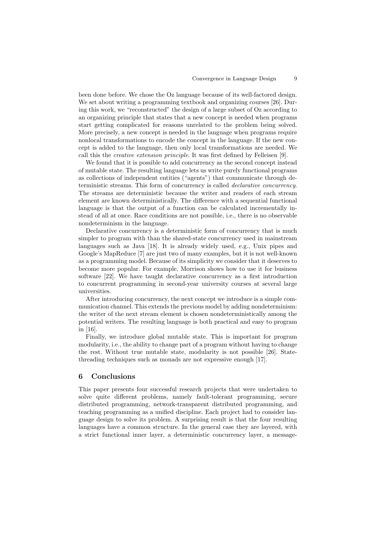been done before. We chose the Oz language because of its well-factored design. We set about writing a programming textbook and organizing courses [\[26\]](#page-10-1). During this work, we "reconstructed" the design of a large subset of Oz according to an organizing principle that states that a new concept is needed when programs start getting complicated for reasons unrelated to the problem being solved. More precisely, a new concept is needed in the language when programs require nonlocal transformations to encode the concept in the language. If the new concept is added to the language, then only local transformations are needed. We call this the creative extension principle. It was first defined by Felleisen [\[9\]](#page-9-13).

We found that it is possible to add concurrency as the second concept instead of mutable state. The resulting language lets us write purely functional programs as collections of independent entities ("agents") that communicate through deterministic streams. This form of concurrency is called declarative concurrency. The streams are deterministic because the writer and readers of each stream element are known deterministically. The difference with a sequential functional language is that the output of a function can be calculated incrementally instead of all at once. Race conditions are not possible, i.e., there is no observable nondeterminism in the language.

Declarative concurrency is a deterministic form of concurrency that is much simpler to program with than the shared-state concurrency used in mainstream languages such as Java [\[18\]](#page-9-14). It is already widely used, e.g., Unix pipes and Google's MapReduce [\[7\]](#page-8-7) are just two of many examples, but it is not well-known as a programming model. Because of its simplicity we consider that it deserves to become more popular. For example, Morrison shows how to use it for business software [\[22\]](#page-9-15). We have taught declarative concurrency as a first introduction to concurrent programming in second-year university courses at several large universities.

After introducing concurrency, the next concept we introduce is a simple communication channel. This extends the previous model by adding nondeterminism: the writer of the next stream element is chosen nondeterministically among the potential writers. The resulting language is both practical and easy to program in [\[16\]](#page-9-16).

Finally, we introduce global mutable state. This is important for program modularity, i.e., the ability to change part of a program without having to change the rest. Without true mutable state, modularity is not possible [\[26\]](#page-10-1). Statethreading techniques such as monads are not expressive enough [\[17\]](#page-9-17).

## <span id="page-7-0"></span>**6 Conclusions**

This paper presents four successful research projects that were undertaken to solve quite different problems, namely fault-tolerant programming, secure distributed programming, network-transparent distributed programming, and teaching programming as a unified discipline. Each project had to consider language design to solve its problem. A surprising result is that the four resulting languages have a common structure. In the general case they are layered, with a strict functional inner layer, a deterministic concurrency layer, a message-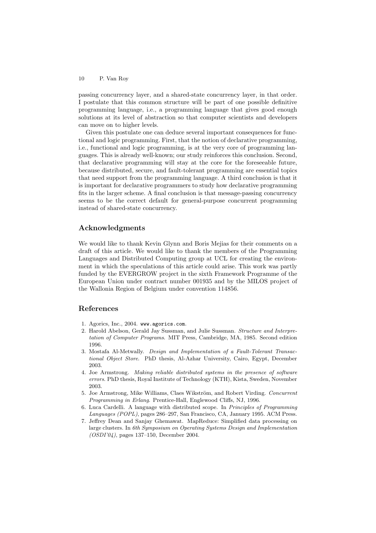passing concurrency layer, and a shared-state concurrency layer, in that order. I postulate that this common structure will be part of one possible definitive programming language, i.e., a programming language that gives good enough solutions at its level of abstraction so that computer scientists and developers can move on to higher levels.

Given this postulate one can deduce several important consequences for functional and logic programming. First, that the notion of declarative programming, i.e., functional and logic programming, is at the very core of programming languages. This is already well-known; our study reinforces this conclusion. Second, that declarative programming will stay at the core for the foreseeable future, because distributed, secure, and fault-tolerant programming are essential topics that need support from the programming language. A third conclusion is that it is important for declarative programmers to study how declarative programming fits in the larger scheme. A final conclusion is that message-passing concurrency seems to be the correct default for general-purpose concurrent programming instead of shared-state concurrency.

## **Acknowledgments**

We would like to thank Kevin Glynn and Boris Mejias for their comments on a draft of this article. We would like to thank the members of the Programming Languages and Distributed Computing group at UCL for creating the environment in which the speculations of this article could arise. This work was partly funded by the EVERGROW project in the sixth Framework Programme of the European Union under contract number 001935 and by the MILOS project of the Wallonia Region of Belgium under convention 114856.

## <span id="page-8-6"></span><span id="page-8-3"></span><span id="page-8-0"></span>**References**

- 1. Agorics, Inc., 2004. www.agorics.com.
- 2. Harold Abelson, Gerald Jay Sussman, and Julie Sussman. Structure and Interpretation of Computer Programs. MIT Press, Cambridge, MA, 1985. Second edition 1996.
- <span id="page-8-5"></span>3. Mostafa Al-Metwally. Design and Implementation of a Fault-Tolerant Transactional Object Store. PhD thesis, Al-Azhar University, Cairo, Egypt, December 2003.
- <span id="page-8-2"></span>4. Joe Armstrong. Making reliable distributed systems in the presence of software errors. PhD thesis, Royal Institute of Technology (KTH), Kista, Sweden, November 2003.
- <span id="page-8-1"></span>5. Joe Armstrong, Mike Williams, Claes Wikström, and Robert Virding. Concurrent Programming in Erlang. Prentice-Hall, Englewood Cliffs, NJ, 1996.
- <span id="page-8-4"></span>6. Luca Cardelli. A language with distributed scope. In Principles of Programming Languages (POPL), pages 286–297, San Francisco, CA, January 1995. ACM Press.
- <span id="page-8-7"></span>7. Jeffrey Dean and Sanjay Ghemawat. MapReduce: Simplified data processing on large clusters. In 6th Symposium on Operating Systems Design and Implementation (OSDI'04), pages 137–150, December 2004.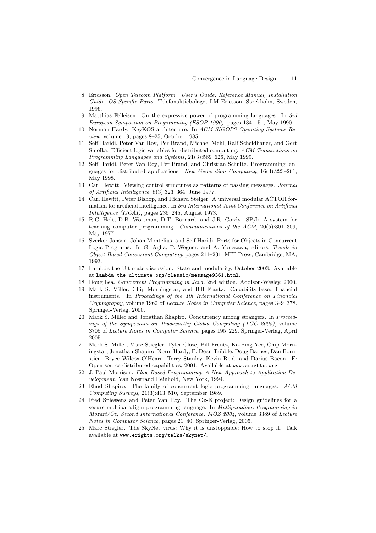- <span id="page-9-0"></span>8. Ericsson. Open Telecom Platform—User's Guide, Reference Manual, Installation Guide, OS Specific Parts. Telefonaktiebolaget LM Ericsson, Stockholm, Sweden, 1996.
- <span id="page-9-13"></span>9. Matthias Felleisen. On the expressive power of programming languages. In 3rd European Symposium on Programming (ESOP 1990), pages 134–151, May 1990.
- <span id="page-9-7"></span>10. Norman Hardy. KeyKOS architecture. In ACM SIGOPS Operating Systems Review, volume 19, pages 8–25, October 1985.
- <span id="page-9-11"></span>11. Seif Haridi, Peter Van Roy, Per Brand, Michael Mehl, Ralf Scheidhauer, and Gert Smolka. Efficient logic variables for distributed computing. ACM Transactions on Programming Languages and Systems, 21(3):569–626, May 1999.
- <span id="page-9-9"></span>12. Seif Haridi, Peter Van Roy, Per Brand, and Christian Schulte. Programming languages for distributed applications. New Generation Computing, 16(3):223–261, May 1998.
- <span id="page-9-5"></span>13. Carl Hewitt. Viewing control structures as patterns of passing messages. Journal of Artificial Intelligence, 8(3):323–364, June 1977.
- <span id="page-9-6"></span>14. Carl Hewitt, Peter Bishop, and Richard Steiger. A universal modular ACTOR formalism for artificial intelligence. In 3rd International Joint Conference on Artificial Intelligence (IJCAI), pages 235–245, August 1973.
- <span id="page-9-12"></span>15. R.C. Holt, D.B. Wortman, D.T. Barnard, and J.R. Cordy. SP/k: A system for teaching computer programming. Communications of the ACM, 20(5):301–309, May 1977.
- <span id="page-9-16"></span>16. Sverker Janson, Johan Montelius, and Seif Haridi. Ports for Objects in Concurrent Logic Programs. In G. Agha, P. Wegner, and A. Yonezawa, editors, Trends in Object-Based Concurrent Computing, pages 211–231. MIT Press, Cambridge, MA, 1993.
- <span id="page-9-17"></span>17. Lambda the Ultimate discussion. State and modularity, October 2003. Available at lambda-the-ultimate.org/classic/message9361.html.
- <span id="page-9-14"></span><span id="page-9-2"></span>18. Doug Lea. Concurrent Programming in Java, 2nd edition. Addison-Wesley, 2000.
- 19. Mark S. Miller, Chip Morningstar, and Bill Frantz. Capability-based financial instruments. In Proceedings of the 4th International Conference on Financial Cryptography, volume 1962 of Lecture Notes in Computer Science, pages 349–378. Springer-Verlag, 2000.
- <span id="page-9-4"></span>20. Mark S. Miller and Jonathan Shapiro. Concurrency among strangers. In Proceedings of the Symposium on Trustworthy Global Computing (TGC 2005), volume 3705 of Lecture Notes in Computer Science, pages 195–229. Springer-Verlag, April 2005.
- <span id="page-9-1"></span>21. Mark S. Miller, Marc Stiegler, Tyler Close, Bill Frantz, Ka-Ping Yee, Chip Morningstar, Jonathan Shapiro, Norm Hardy, E. Dean Tribble, Doug Barnes, Dan Bornstien, Bryce Wilcox-O'Hearn, Terry Stanley, Kevin Reid, and Darius Bacon. E: Open source distributed capabilities, 2001. Available at www.erights.org.
- <span id="page-9-15"></span>22. J. Paul Morrison. Flow-Based Programming: A New Approach to Application Development. Van Nostrand Reinhold, New York, 1994.
- <span id="page-9-8"></span>23. Ehud Shapiro. The family of concurrent logic programming languages. ACM Computing Surveys, 21(3):413–510, September 1989.
- <span id="page-9-10"></span>24. Fred Spiessens and Peter Van Roy. The Oz-E project: Design guidelines for a secure multiparadigm programming language. In Multiparadigm Programming in Mozart/Oz, Second International Conference, MOZ 2004, volume 3389 of Lecture Notes in Computer Science, pages 21–40. Springer-Verlag, 2005.
- <span id="page-9-3"></span>25. Marc Stiegler. The SkyNet virus: Why it is unstoppable; How to stop it. Talk available at www.erights.org/talks/skynet/.